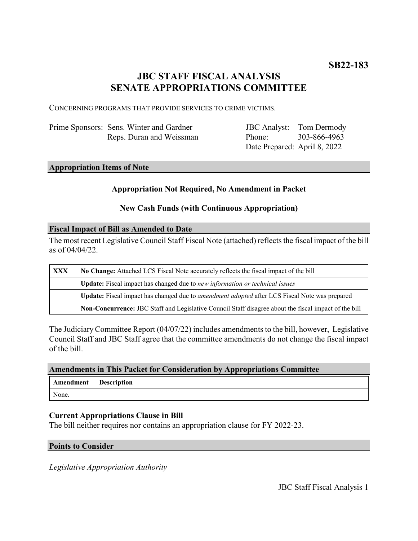# **JBC STAFF FISCAL ANALYSIS SENATE APPROPRIATIONS COMMITTEE**

CONCERNING PROGRAMS THAT PROVIDE SERVICES TO CRIME VICTIMS.

| Prime Sponsors: Sens. Winter and Gardner |
|------------------------------------------|
| Reps. Duran and Weissman                 |

JBC Analyst: Tom Dermody Phone: Date Prepared: April 8, 2022 303-866-4963

# **Appropriation Items of Note**

# **Appropriation Not Required, No Amendment in Packet**

# **New Cash Funds (with Continuous Appropriation)**

#### **Fiscal Impact of Bill as Amended to Date**

The most recent Legislative Council Staff Fiscal Note (attached) reflects the fiscal impact of the bill as of 04/04/22.

| <b>XXX</b> | No Change: Attached LCS Fiscal Note accurately reflects the fiscal impact of the bill                 |  |
|------------|-------------------------------------------------------------------------------------------------------|--|
|            | Update: Fiscal impact has changed due to new information or technical issues                          |  |
|            | Update: Fiscal impact has changed due to <i>amendment adopted</i> after LCS Fiscal Note was prepared  |  |
|            | Non-Concurrence: JBC Staff and Legislative Council Staff disagree about the fiscal impact of the bill |  |

The Judiciary Committee Report (04/07/22) includes amendments to the bill, however, Legislative Council Staff and JBC Staff agree that the committee amendments do not change the fiscal impact of the bill.

# **Amendments in This Packet for Consideration by Appropriations Committee**

| Amendment | <b>Description</b> |
|-----------|--------------------|
| None.     |                    |

#### **Current Appropriations Clause in Bill**

The bill neither requires nor contains an appropriation clause for FY 2022-23.

#### **Points to Consider**

*Legislative Appropriation Authority*